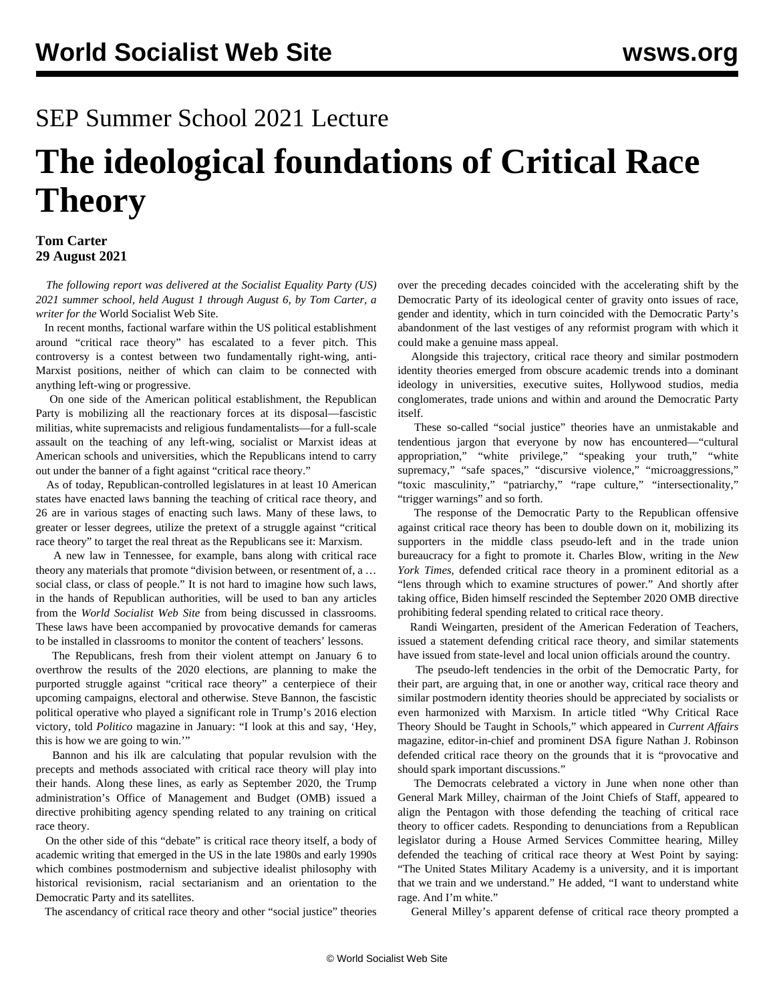# SEP Summer School 2021 Lecture

# **The ideological foundations of Critical Race Theory**

### **Tom Carter 29 August 2021**

 *The following report was delivered at the Socialist Equality Party (US) 2021 summer school, held August 1 through August 6, by Tom Carter, a writer for the* World Socialist Web Site.

 In recent months, factional warfare within the US political establishment around "critical race theory" has escalated to a fever pitch. This controversy is a contest between two fundamentally right-wing, anti-Marxist positions, neither of which can claim to be connected with anything left-wing or progressive.

 On one side of the American political establishment, the Republican Party is mobilizing all the reactionary forces at its disposal—fascistic militias, white supremacists and religious fundamentalists—for a full-scale assault on the teaching of any left-wing, socialist or Marxist ideas at American schools and universities, which the Republicans intend to carry out under the banner of a fight against "critical race theory."

 As of today, Republican-controlled legislatures in at least 10 American states have enacted laws banning the teaching of critical race theory, and 26 are in various stages of enacting such laws. Many of these laws, to greater or lesser degrees, utilize the pretext of a struggle against "critical race theory" to target the real threat as the Republicans see it: Marxism.

 A new law in Tennessee, for example, [bans](/en/articles/2021/06/22/crit-j22.html) along with critical race theory any materials that promote "division between, or resentment of, a … social class, or class of people." It is not hard to imagine how such laws, in the hands of Republican authorities, will be used to ban any articles from the *World Socialist Web Site* from being discussed in classrooms. These laws have been accompanied by provocative demands for cameras to be installed in classrooms to monitor the content of teachers' lessons.

 The Republicans, fresh from their violent attempt on January 6 to overthrow the results of the 2020 elections, are planning to make the purported struggle against "critical race theory" a centerpiece of their upcoming campaigns, electoral and otherwise. Steve Bannon, the fascistic political operative who played a significant role in Trump's 2016 election victory, told *Politico* magazine in January: "I look at this and say, 'Hey, this is how we are going to win.'"

 Bannon and his ilk are calculating that popular revulsion with the precepts and methods associated with critical race theory will play into their hands. Along these lines, as early as September 2020, the Trump administration's Office of Management and Budget (OMB) issued a directive prohibiting agency spending related to any training on critical race theory.

 On the other side of this "debate" is critical race theory itself, a body of academic writing that emerged in the US in the late 1980s and early 1990s which combines postmodernism and subjective idealist philosophy with historical revisionism, racial sectarianism and an orientation to the Democratic Party and its satellites.

The ascendancy of critical race theory and other "social justice" theories

over the preceding decades coincided with the accelerating shift by the Democratic Party of its ideological center of gravity onto issues of race, gender and identity, which in turn coincided with the Democratic Party's abandonment of the last vestiges of any reformist program with which it could make a genuine mass appeal.

 Alongside this trajectory, critical race theory and similar postmodern identity theories emerged from obscure academic trends into a dominant ideology in universities, executive suites, Hollywood studios, media conglomerates, trade unions and within and around the Democratic Party itself.

 These so-called "social justice" theories have an unmistakable and tendentious jargon that everyone by now has encountered—"cultural appropriation," "white privilege," "speaking your truth," "white supremacy," "safe spaces," "discursive violence," "microaggressions," "toxic masculinity," "patriarchy," "rape culture," "intersectionality," "trigger warnings" and so forth.

 The response of the Democratic Party to the Republican offensive against critical race theory has been to double down on it, mobilizing its supporters in the middle class pseudo-left and in the trade union bureaucracy for a fight to promote it. Charles Blow, writing in the *New York Times*, defended critical race theory in a prominent editorial as a "lens through which to examine structures of power." And shortly after taking office, Biden himself rescinded the September 2020 OMB directive prohibiting federal spending related to critical race theory.

 Randi Weingarten, president of the American Federation of Teachers, issued a statement defending critical race theory, and similar statements have issued from state-level and local union officials around the country.

 The pseudo-left tendencies in the orbit of the Democratic Party, for their part, are arguing that, in one or another way, critical race theory and similar postmodern identity theories should be appreciated by socialists or even harmonized with Marxism. In article titled "Why Critical Race Theory Should be Taught in Schools*,*" which appeared in *Current Affairs* magazine, editor-in-chief and prominent DSA figure Nathan J. Robinson defended critical race theory on the grounds that it is "provocative and should spark important discussions."

 The Democrats celebrated a victory in June when none other than General Mark Milley, chairman of the Joint Chiefs of Staff, appeared to align the Pentagon with those defending the teaching of critical race theory to officer cadets. Responding to denunciations from a Republican legislator during a House Armed Services Committee hearing, Milley defended the teaching of critical race theory at West Point by saying: "The United States Military Academy is a university, and it is important that we train and we understand." He added, "I want to understand white rage. And I'm white."

General Milley's apparent defense of critical race theory prompted a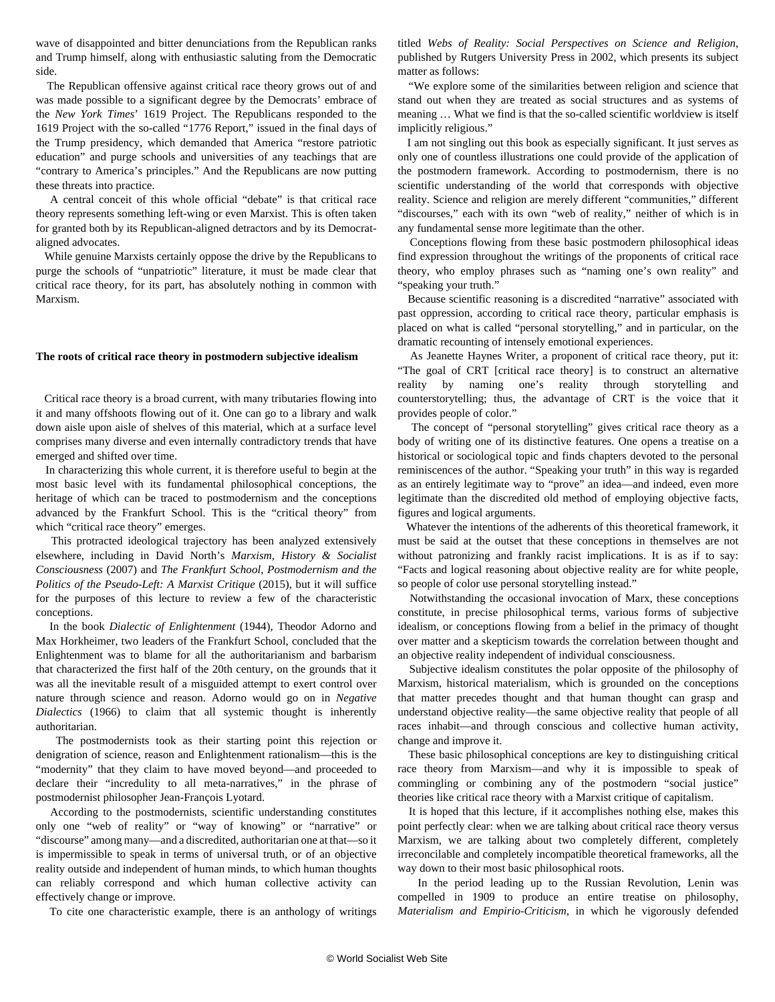wave of disappointed and bitter denunciations from the Republican ranks and Trump himself, along with enthusiastic saluting from the Democratic side.

 The Republican offensive against critical race theory grows out of and was made possible to a significant degree by the Democrats' embrace of the *New York Times*' 1619 Project. The Republicans responded to the 1619 Project with the so-called "1776 Report," issued in the final days of the Trump presidency, which [demanded](/en/articles/2021/01/30/1776-j30.html) that America "restore patriotic education" and purge schools and universities of any teachings that are "contrary to America's principles." And the Republicans are now putting these threats into practice.

 A central conceit of this whole official "debate" is that critical race theory represents something left-wing or even Marxist. This is often taken for granted both by its Republican-aligned detractors and by its Democrataligned advocates.

 While genuine Marxists certainly oppose the drive by the Republicans to purge the schools of "unpatriotic" literature, it must be made clear that critical race theory, for its part, has absolutely nothing in common with Marxism.

#### **The roots of critical race theory in postmodern subjective idealism**

 Critical race theory is a broad current, with many tributaries flowing into it and many offshoots flowing out of it. One can go to a library and walk down aisle upon aisle of shelves of this material, which at a surface level comprises many diverse and even internally contradictory trends that have emerged and shifted over time.

 In characterizing this whole current, it is therefore useful to begin at the most basic level with its fundamental philosophical conceptions, the heritage of which can be traced to postmodernism and the conceptions advanced by the Frankfurt School. This is the "critical theory" from which "critical race theory" emerges.

 This protracted ideological trajectory has been analyzed extensively elsewhere, including in David North's *Marxism, History & Socialist Consciousness* (2007) and *The Frankfurt School, Postmodernism and the Politics of the Pseudo-Left: A Marxist Critique* (2015), but it will suffice for the purposes of this lecture to review a few of the characteristic conceptions.

 In the book *Dialectic of Enlightenment* (1944), Theodor Adorno and Max Horkheimer, two leaders of the Frankfurt School, concluded that the Enlightenment was to blame for all the authoritarianism and barbarism that characterized the first half of the 20th century, on the grounds that it was all the inevitable result of a misguided attempt to exert control over nature through science and reason. Adorno would go on in *Negative Dialectics* (1966) to claim that all systemic thought is inherently authoritarian.

 The postmodernists took as their starting point this rejection or denigration of science, reason and Enlightenment rationalism—this is the "modernity" that they claim to have moved beyond—and proceeded to declare their "incredulity to all meta-narratives," in the phrase of postmodernist philosopher Jean-François Lyotard.

 According to the postmodernists, scientific understanding constitutes only one "web of reality" or "way of knowing" or "narrative" or "discourse" among many—and a discredited, authoritarian one at that—so it is impermissible to speak in terms of universal truth, or of an objective reality outside and independent of human minds, to which human thoughts can reliably correspond and which human collective activity can effectively change or improve.

To cite one characteristic example, there is an anthology of writings

titled *Webs of Reality: Social Perspectives on Science and Religion*, published by Rutgers University Press in 2002, which presents its subject matter as follows:

 "We explore some of the similarities between religion and science that stand out when they are treated as social structures and as systems of meaning … What we find is that the so-called scientific worldview is itself implicitly religious."

 I am not singling out this book as especially significant. It just serves as only one of countless illustrations one could provide of the application of the postmodern framework. According to postmodernism, there is no scientific understanding of the world that corresponds with objective reality. Science and religion are merely different "communities," different "discourses," each with its own "web of reality," neither of which is in any fundamental sense more legitimate than the other.

 Conceptions flowing from these basic postmodern philosophical ideas find expression throughout the writings of the proponents of critical race theory, who employ phrases such as "naming one's own reality" and "speaking your truth."

 Because scientific reasoning is a discredited "narrative" associated with past oppression, according to critical race theory, particular emphasis is placed on what is called "personal storytelling," and in particular, on the dramatic recounting of intensely emotional experiences.

 As Jeanette Haynes Writer, a proponent of critical race theory, put it: "The goal of CRT [critical race theory] is to construct an alternative reality by naming one's reality through storytelling and counterstorytelling; thus, the advantage of CRT is the voice that it provides people of color."

 The concept of "personal storytelling" gives critical race theory as a body of writing one of its distinctive features. One opens a treatise on a historical or sociological topic and finds chapters devoted to the personal reminiscences of the author. "Speaking your truth" in this way is regarded as an entirely legitimate way to "prove" an idea—and indeed, even more legitimate than the discredited old method of employing objective facts, figures and logical arguments.

 Whatever the intentions of the adherents of this theoretical framework, it must be said at the outset that these conceptions in themselves are not without patronizing and frankly racist implications. It is as if to say: "Facts and logical reasoning about objective reality are for white people, so people of color use personal storytelling instead."

 Notwithstanding the occasional invocation of Marx, these conceptions constitute, in precise philosophical terms, various forms of subjective idealism, or conceptions flowing from a belief in the primacy of thought over matter and a skepticism towards the correlation between thought and an objective reality independent of individual consciousness.

 Subjective idealism constitutes the polar opposite of the philosophy of Marxism, historical materialism, which is grounded on the conceptions that matter precedes thought and that human thought can grasp and understand objective reality—the same objective reality that people of all races inhabit—and through conscious and collective human activity, change and improve it.

 These basic philosophical conceptions are key to distinguishing critical race theory from Marxism—and why it is impossible to speak of commingling or combining any of the postmodern "social justice" theories like critical race theory with a Marxist critique of capitalism.

 It is hoped that this lecture, if it accomplishes nothing else, makes this point perfectly clear: when we are talking about critical race theory versus Marxism, we are talking about two completely different, completely irreconcilable and completely incompatible theoretical frameworks, all the way down to their most basic philosophical roots.

 In the period leading up to the Russian Revolution, Lenin was compelled in 1909 to produce an entire treatise on philosophy, *Materialism and Empirio-Criticism*, in which he vigorously defended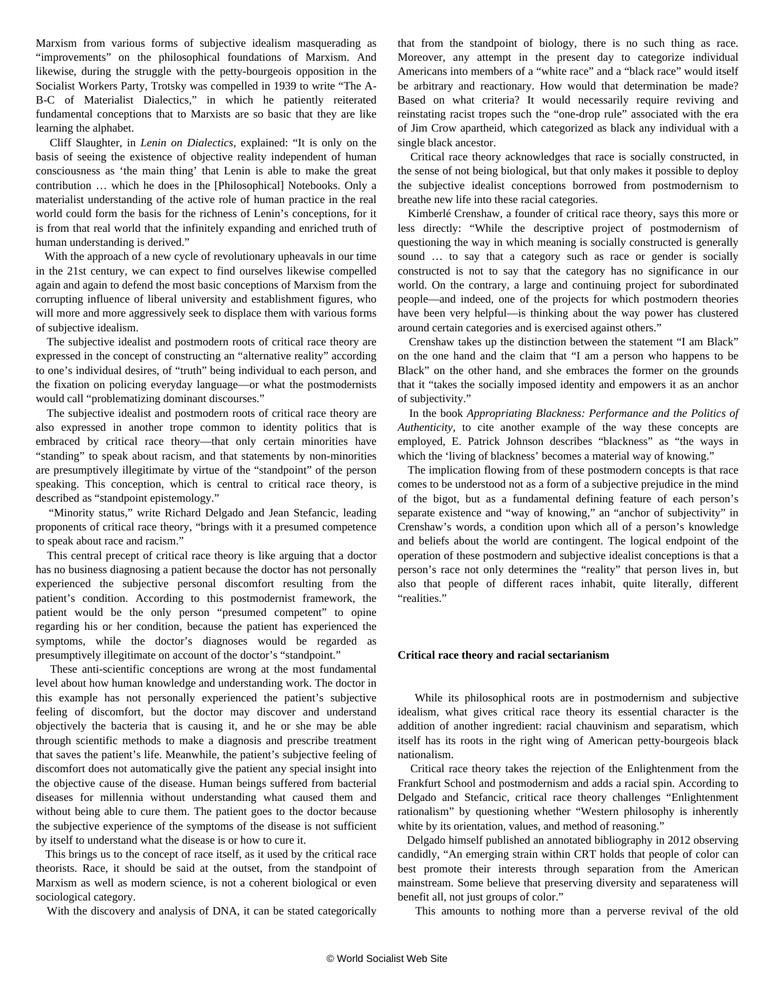Marxism from various forms of subjective idealism masquerading as "improvements" on the philosophical foundations of Marxism. And likewise, during the struggle with the petty-bourgeois opposition in the Socialist Workers Party, Trotsky was compelled in 1939 to write "The A-B-C of Materialist Dialectics," in which he patiently reiterated fundamental conceptions that to Marxists are so basic that they are like learning the alphabet.

 Cliff Slaughter, in *Lenin on Dialectics*, explained: "It is only on the basis of seeing the existence of objective reality independent of human consciousness as 'the main thing' that Lenin is able to make the great contribution … which he does in the [Philosophical] Notebooks. Only a materialist understanding of the active role of human practice in the real world could form the basis for the richness of Lenin's conceptions, for it is from that real world that the infinitely expanding and enriched truth of human understanding is derived."

 With the approach of a new cycle of revolutionary upheavals in our time in the 21st century, we can expect to find ourselves likewise compelled again and again to defend the most basic conceptions of Marxism from the corrupting influence of liberal university and establishment figures, who will more and more aggressively seek to displace them with various forms of subjective idealism.

 The subjective idealist and postmodern roots of critical race theory are expressed in the concept of constructing an "alternative reality" according to one's individual desires, of "truth" being individual to each person, and the fixation on policing everyday language—or what the postmodernists would call "problematizing dominant discourses."

 The subjective idealist and postmodern roots of critical race theory are also expressed in another trope common to identity politics that is embraced by critical race theory—that only certain minorities have "standing" to speak about racism, and that statements by non-minorities are presumptively illegitimate by virtue of the "standpoint" of the person speaking. This conception, which is central to critical race theory, is described as "standpoint epistemology."

 "Minority status," write Richard Delgado and Jean Stefancic, leading proponents of critical race theory, "brings with it a presumed competence to speak about race and racism."

 This central precept of critical race theory is like arguing that a doctor has no business diagnosing a patient because the doctor has not personally experienced the subjective personal discomfort resulting from the patient's condition. According to this postmodernist framework, the patient would be the only person "presumed competent" to opine regarding his or her condition, because the patient has experienced the symptoms, while the doctor's diagnoses would be regarded as presumptively illegitimate on account of the doctor's "standpoint."

 These anti-scientific conceptions are wrong at the most fundamental level about how human knowledge and understanding work. The doctor in this example has not personally experienced the patient's subjective feeling of discomfort, but the doctor may discover and understand objectively the bacteria that is causing it, and he or she may be able through scientific methods to make a diagnosis and prescribe treatment that saves the patient's life. Meanwhile, the patient's subjective feeling of discomfort does not automatically give the patient any special insight into the objective cause of the disease. Human beings suffered from bacterial diseases for millennia without understanding what caused them and without being able to cure them. The patient goes to the doctor because the subjective experience of the symptoms of the disease is not sufficient by itself to understand what the disease is or how to cure it.

 This brings us to the concept of race itself, as it used by the critical race theorists. Race, it should be said at the outset, from the standpoint of Marxism as well as modern science, is not a coherent biological or even sociological category.

With the discovery and analysis of DNA, it can be stated categorically

that from the standpoint of biology, there is no such thing as race. Moreover, any attempt in the present day to categorize individual Americans into members of a "white race" and a "black race" would itself be arbitrary and reactionary. How would that determination be made? Based on what criteria? It would necessarily require reviving and reinstating racist tropes such the "one-drop rule" associated with the era of Jim Crow apartheid, which categorized as black any individual with a single black ancestor.

 Critical race theory acknowledges that race is socially constructed, in the sense of not being biological, but that only makes it possible to deploy the subjective idealist conceptions borrowed from postmodernism to breathe new life into these racial categories.

 Kimberlé Crenshaw, a founder of critical race theory, says this more or less directly: "While the descriptive project of postmodernism of questioning the way in which meaning is socially constructed is generally sound ... to say that a category such as race or gender is socially constructed is not to say that the category has no significance in our world. On the contrary, a large and continuing project for subordinated people—and indeed, one of the projects for which postmodern theories have been very helpful—is thinking about the way power has clustered around certain categories and is exercised against others."

 Crenshaw takes up the distinction between the statement "I am Black" on the one hand and the claim that "I am a person who happens to be Black" on the other hand, and she embraces the former on the grounds that it "takes the socially imposed identity and empowers it as an anchor of subjectivity."

 In the book *Appropriating Blackness: Performance and the Politics of Authenticity*, to cite another example of the way these concepts are employed, E. Patrick Johnson describes "blackness" as "the ways in which the 'living of blackness' becomes a material way of knowing."

 The implication flowing from of these postmodern concepts is that race comes to be understood not as a form of a subjective prejudice in the mind of the bigot, but as a fundamental defining feature of each person's separate existence and "way of knowing," an "anchor of subjectivity" in Crenshaw's words, a condition upon which all of a person's knowledge and beliefs about the world are contingent. The logical endpoint of the operation of these postmodern and subjective idealist conceptions is that a person's race not only determines the "reality" that person lives in, but also that people of different races inhabit, quite literally, different "realities."

#### **Critical race theory and racial sectarianism**

 While its philosophical roots are in postmodernism and subjective idealism, what gives critical race theory its essential character is the addition of another ingredient: racial chauvinism and separatism, which itself has its roots in the right wing of American petty-bourgeois black nationalism.

 Critical race theory takes the rejection of the Enlightenment from the Frankfurt School and postmodernism and adds a racial spin. According to Delgado and Stefancic, critical race theory challenges "Enlightenment rationalism" by questioning whether "Western philosophy is inherently white by its orientation, values, and method of reasoning."

 Delgado himself published an annotated bibliography in 2012 observing candidly, "An emerging strain within CRT holds that people of color can best promote their interests through separation from the American mainstream. Some believe that preserving diversity and separateness will benefit all, not just groups of color."

This amounts to nothing more than a perverse revival of the old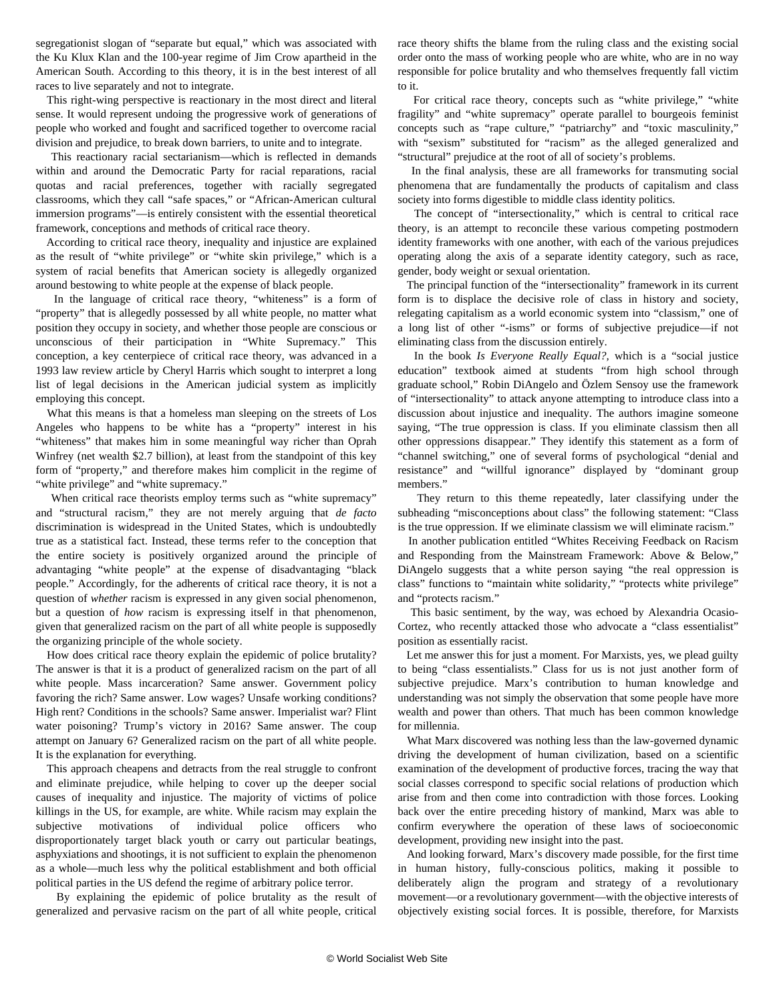segregationist slogan of "separate but equal," which was associated with the Ku Klux Klan and the 100-year regime of Jim Crow apartheid in the American South. According to this theory, it is in the best interest of all races to live separately and not to integrate.

 This right-wing perspective is reactionary in the most direct and literal sense. It would represent undoing the progressive work of generations of people who worked and fought and sacrificed together to overcome racial division and prejudice, to break down barriers, to unite and to integrate.

 This reactionary racial sectarianism—which is reflected in demands within and around the Democratic Party for racial reparations, racial quotas and racial preferences, together with racially segregated classrooms, which they call "safe spaces," or "African-American cultural immersion programs"—is entirely consistent with the essential theoretical framework, conceptions and methods of critical race theory.

 According to critical race theory, inequality and injustice are explained as the result of "white privilege" or "white skin privilege," which is a system of racial benefits that American society is allegedly organized around bestowing to white people at the expense of black people.

 In the language of critical race theory, "whiteness" is a form of "property" that is allegedly possessed by all white people, no matter what position they occupy in society, and whether those people are conscious or unconscious of their participation in "White Supremacy." This conception, a key centerpiece of critical race theory, was advanced in a 1993 law review article by Cheryl Harris which sought to interpret a long list of legal decisions in the American judicial system as implicitly employing this concept.

 What this means is that a homeless man sleeping on the streets of Los Angeles who happens to be white has a "property" interest in his "whiteness" that makes him in some meaningful way richer than Oprah Winfrey (net wealth \$2.7 billion), at least from the standpoint of this key form of "property," and therefore makes him complicit in the regime of "white privilege" and "white supremacy."

 When critical race theorists employ terms such as "white supremacy" and "structural racism," they are not merely arguing that *de facto* discrimination is widespread in the United States, which is undoubtedly true as a statistical fact. Instead, these terms refer to the conception that the entire society is positively organized around the principle of advantaging "white people" at the expense of disadvantaging "black people." Accordingly, for the adherents of critical race theory, it is not a question of *whether* racism is expressed in any given social phenomenon, but a question of *how* racism is expressing itself in that phenomenon, given that generalized racism on the part of all white people is supposedly the organizing principle of the whole society.

 How does critical race theory explain the epidemic of police brutality? The answer is that it is a product of generalized racism on the part of all white people. Mass incarceration? Same answer. Government policy favoring the rich? Same answer. Low wages? Unsafe working conditions? High rent? Conditions in the schools? Same answer. Imperialist war? Flint water poisoning? Trump's victory in 2016? Same answer. The coup attempt on January 6? Generalized racism on the part of all white people. It is the explanation for everything.

 This approach cheapens and detracts from the real struggle to confront and eliminate prejudice, while helping to cover up the deeper social causes of inequality and injustice. The majority of victims of police killings in the US, for example, are white. While racism may explain the subjective motivations of individual police officers who disproportionately target black youth or carry out particular beatings, asphyxiations and shootings, it is not sufficient to explain the phenomenon as a whole—much less why the political establishment and both official political parties in the US defend the regime of arbitrary police terror.

 By explaining the epidemic of police brutality as the result of generalized and pervasive racism on the part of all white people, critical

race theory shifts the blame from the ruling class and the existing social order onto the mass of working people who are white, who are in no way responsible for police brutality and who themselves frequently fall victim to it.

 For critical race theory, concepts such as "white privilege," "white fragility" and "white supremacy" operate parallel to bourgeois feminist concepts such as "rape culture," "patriarchy" and "toxic masculinity," with "sexism" substituted for "racism" as the alleged generalized and "structural" prejudice at the root of all of society's problems.

 In the final analysis, these are all frameworks for transmuting social phenomena that are fundamentally the products of capitalism and class society into forms digestible to middle class identity politics.

 The concept of "intersectionality," which is central to critical race theory, is an attempt to reconcile these various competing postmodern identity frameworks with one another, with each of the various prejudices operating along the axis of a separate identity category, such as race, gender, body weight or sexual orientation.

 The principal function of the "intersectionality" framework in its current form is to displace the decisive role of class in history and society, relegating capitalism as a world economic system into "classism," one of a long list of other "-isms" or forms of subjective prejudice—if not eliminating class from the discussion entirely.

 In the book *Is Everyone Really Equal?,* which is a "social justice education" textbook aimed at students "from high school through graduate school," Robin DiAngelo and Özlem Sensoy use the framework of "intersectionality" to attack anyone attempting to introduce class into a discussion about injustice and inequality. The authors imagine someone saying, "The true oppression is class. If you eliminate classism then all other oppressions disappear." They identify this statement as a form of "channel switching," one of several forms of psychological "denial and resistance" and "willful ignorance" displayed by "dominant group members."

 They return to this theme repeatedly, later classifying under the subheading "misconceptions about class" the following statement: "Class is the true oppression. If we eliminate classism we will eliminate racism."

 In another publication entitled "Whites Receiving Feedback on Racism and Responding from the Mainstream Framework: Above & Below," DiAngelo suggests that a white person saying "the real oppression is class" functions to "maintain white solidarity," "protects white privilege" and "protects racism."

 This basic sentiment, by the way, was echoed by Alexandria Ocasio-Cortez, who recently attacked those who advocate a "class essentialist" position as essentially racist.

 Let me answer this for just a moment. For Marxists, yes, we plead guilty to being "class essentialists." Class for us is not just another form of subjective prejudice. Marx's contribution to human knowledge and understanding was not simply the observation that some people have more wealth and power than others. That much has been common knowledge for millennia.

 What Marx discovered was nothing less than the law-governed dynamic driving the development of human civilization, based on a scientific examination of the development of productive forces, tracing the way that social classes correspond to specific social relations of production which arise from and then come into contradiction with those forces. Looking back over the entire preceding history of mankind, Marx was able to confirm everywhere the operation of these laws of socioeconomic development, providing new insight into the past.

 And looking forward, Marx's discovery made possible, for the first time in human history, fully-conscious politics, making it possible to deliberately align the program and strategy of a revolutionary movement—or a revolutionary government—with the objective interests of objectively existing social forces. It is possible, therefore, for Marxists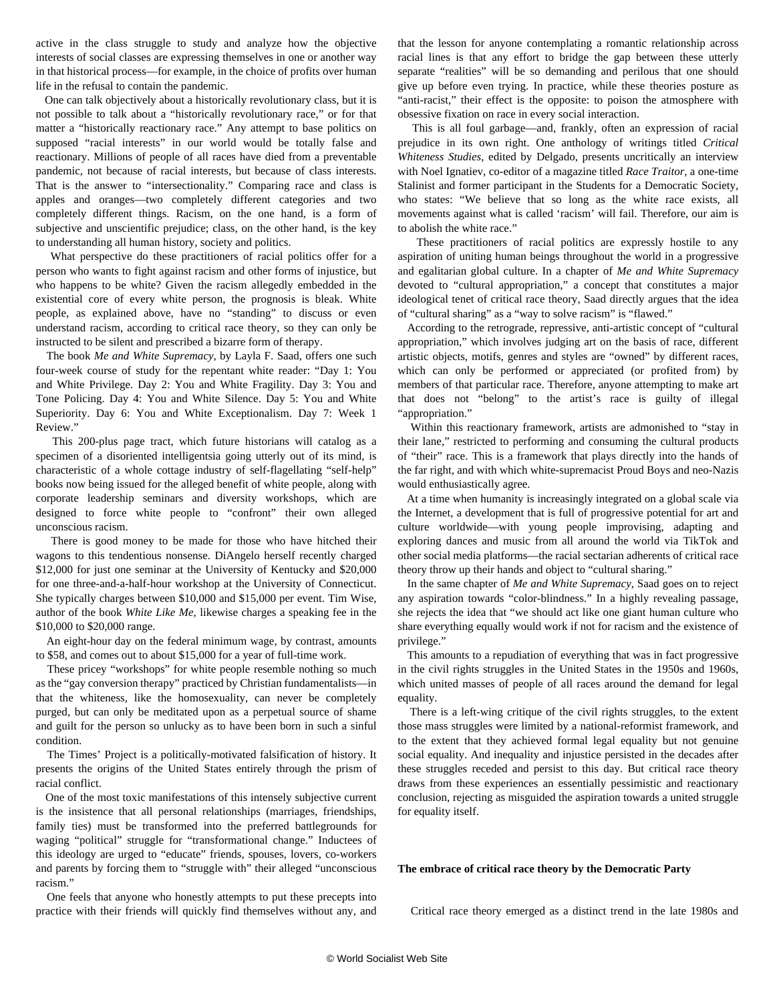active in the class struggle to study and analyze how the objective interests of social classes are expressing themselves in one or another way in that historical process—for example, in the choice of profits over human life in the refusal to contain the pandemic.

 One can talk objectively about a historically revolutionary class, but it is not possible to talk about a "historically revolutionary race," or for that matter a "historically reactionary race." Any attempt to base politics on supposed "racial interests" in our world would be totally false and reactionary. Millions of people of all races have died from a preventable pandemic, not because of racial interests, but because of class interests. That is the answer to "intersectionality." Comparing race and class is apples and oranges—two completely different categories and two completely different things. Racism, on the one hand, is a form of subjective and unscientific prejudice; class, on the other hand, is the key to understanding all human history, society and politics.

 What perspective do these practitioners of racial politics offer for a person who wants to fight against racism and other forms of injustice, but who happens to be white? Given the racism allegedly embedded in the existential core of every white person, the prognosis is bleak. White people, as explained above, have no "standing" to discuss or even understand racism, according to critical race theory, so they can only be instructed to be silent and prescribed a bizarre form of therapy.

 The book *Me and White Supremacy*, by Layla F. Saad, offers one such four-week course of study for the repentant white reader: "Day 1: You and White Privilege. Day 2: You and White Fragility. Day 3: You and Tone Policing. Day 4: You and White Silence. Day 5: You and White Superiority. Day 6: You and White Exceptionalism. Day 7: Week 1 Review."

 This 200-plus page tract, which future historians will catalog as a specimen of a disoriented intelligentsia going utterly out of its mind, is characteristic of a whole cottage industry of self-flagellating "self-help" books now being issued for the alleged benefit of white people, along with corporate leadership seminars and diversity workshops, which are designed to force white people to "confront" their own alleged unconscious racism.

 There is good money to be made for those who have hitched their wagons to this tendentious nonsense. DiAngelo herself recently charged \$12,000 for just one seminar at the University of Kentucky and \$20,000 for one three-and-a-half-hour workshop at the University of Connecticut. She typically charges between \$10,000 and \$15,000 per event. Tim Wise, author of the book *White Like Me*, likewise charges a speaking fee in the \$10,000 to \$20,000 range.

 An eight-hour day on the federal minimum wage, by contrast, amounts to \$58, and comes out to about \$15,000 for a year of full-time work.

 These pricey "workshops" for white people resemble nothing so much as the "gay conversion therapy" practiced by Christian fundamentalists—in that the whiteness, like the homosexuality, can never be completely purged, but can only be meditated upon as a perpetual source of shame and guilt for the person so unlucky as to have been born in such a sinful condition.

 The Times' Project is a politically-motivated falsification of history. It presents the origins of the United States entirely through the prism of racial conflict.

 One of the most toxic manifestations of this intensely subjective current is the insistence that all personal relationships (marriages, friendships, family ties) must be transformed into the preferred battlegrounds for waging "political" struggle for "transformational change." Inductees of this ideology are urged to "educate" friends, spouses, lovers, co-workers and parents by forcing them to "struggle with" their alleged "unconscious racism."

 One feels that anyone who honestly attempts to put these precepts into practice with their friends will quickly find themselves without any, and that the lesson for anyone contemplating a romantic relationship across racial lines is that any effort to bridge the gap between these utterly separate "realities" will be so demanding and perilous that one should give up before even trying. In practice, while these theories posture as "anti-racist," their effect is the opposite: to poison the atmosphere with obsessive fixation on race in every social interaction.

 This is all foul garbage—and, frankly, often an expression of racial prejudice in its own right. One anthology of writings titled *Critical Whiteness Studies*, edited by Delgado, presents uncritically an interview with Noel Ignatiev, co-editor of a magazine titled *Race Traitor*, a one-time Stalinist and former participant in the Students for a Democratic Society, who states: "We believe that so long as the white race exists, all movements against what is called 'racism' will fail. Therefore, our aim is to abolish the white race."

 These practitioners of racial politics are expressly hostile to any aspiration of uniting human beings throughout the world in a progressive and egalitarian global culture. In a chapter of *Me and White Supremacy* devoted to "cultural appropriation," a concept that constitutes a major ideological tenet of critical race theory, Saad directly argues that the idea of "cultural sharing" as a "way to solve racism" is "flawed."

 According to the retrograde, repressive, anti-artistic concept of "cultural appropriation," which involves judging art on the basis of race, different artistic objects, motifs, genres and styles are "owned" by different races, which can only be performed or appreciated (or profited from) by members of that particular race. Therefore, anyone attempting to make art that does not "belong" to the artist's race is guilty of illegal "appropriation."

 Within this reactionary framework, artists are admonished to "stay in their lane," restricted to performing and consuming the cultural products of "their" race. This is a framework that plays directly into the hands of the far right, and with which white-supremacist Proud Boys and neo-Nazis would enthusiastically agree.

 At a time when humanity is increasingly integrated on a global scale via the Internet, a development that is full of progressive potential for art and culture worldwide—with young people improvising, adapting and exploring dances and music from all around the world via TikTok and other social media platforms—the racial sectarian adherents of critical race theory throw up their hands and object to "cultural sharing."

 In the same chapter of *Me and White Supremacy*, Saad goes on to reject any aspiration towards "color-blindness." In a highly revealing passage, she rejects the idea that "we should act like one giant human culture who share everything equally would work if not for racism and the existence of privilege."

 This amounts to a repudiation of everything that was in fact progressive in the civil rights struggles in the United States in the 1950s and 1960s, which united masses of people of all races around the demand for legal equality.

 There is a left-wing critique of the civil rights struggles, to the extent those mass struggles were limited by a national-reformist framework, and to the extent that they achieved formal legal equality but not genuine social equality. And inequality and injustice persisted in the decades after these struggles receded and persist to this day. But critical race theory draws from these experiences an essentially pessimistic and reactionary conclusion, rejecting as misguided the aspiration towards a united struggle for equality itself.

#### **The embrace of critical race theory by the Democratic Party**

Critical race theory emerged as a distinct trend in the late 1980s and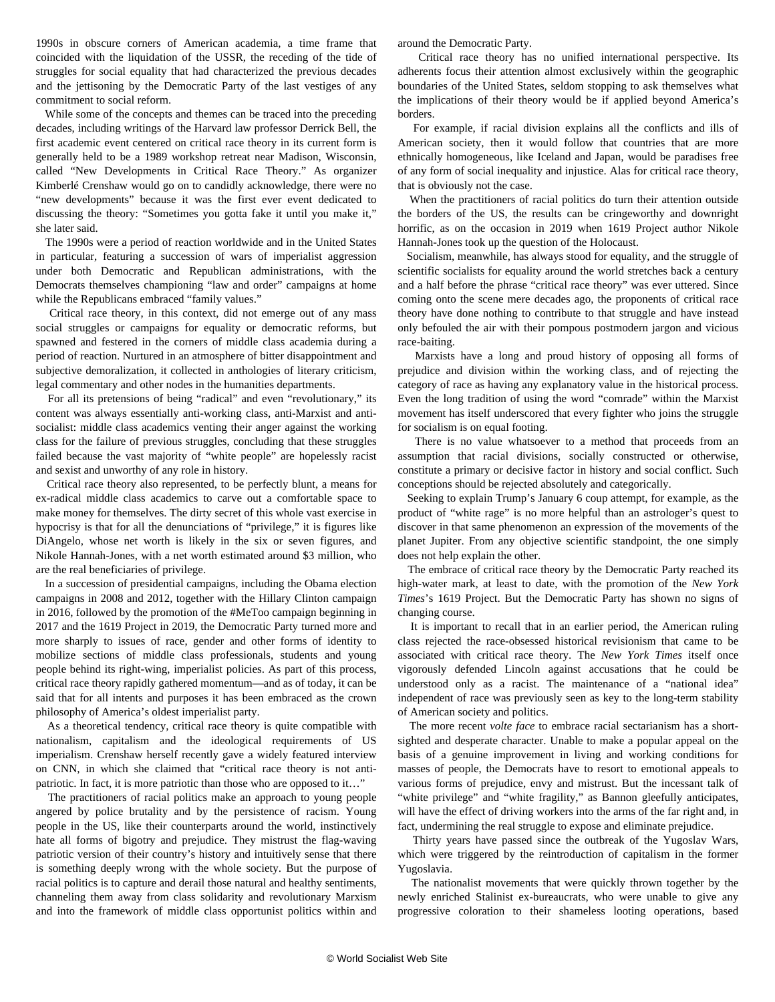1990s in obscure corners of American academia, a time frame that coincided with the liquidation of the USSR, the receding of the tide of struggles for social equality that had characterized the previous decades and the jettisoning by the Democratic Party of the last vestiges of any commitment to social reform.

 While some of the concepts and themes can be traced into the preceding decades, including writings of the Harvard law professor Derrick Bell, the first academic event centered on critical race theory in its current form is generally held to be a 1989 workshop retreat near Madison, Wisconsin, called "New Developments in Critical Race Theory." As organizer Kimberlé Crenshaw would go on to candidly acknowledge, there were no "new developments" because it was the first ever event dedicated to discussing the theory: "Sometimes you gotta fake it until you make it," she later said.

 The 1990s were a period of reaction worldwide and in the United States in particular, featuring a succession of wars of imperialist aggression under both Democratic and Republican administrations, with the Democrats themselves championing "law and order" campaigns at home while the Republicans embraced "family values."

 Critical race theory, in this context, did not emerge out of any mass social struggles or campaigns for equality or democratic reforms, but spawned and festered in the corners of middle class academia during a period of reaction. Nurtured in an atmosphere of bitter disappointment and subjective demoralization, it collected in anthologies of literary criticism, legal commentary and other nodes in the humanities departments.

 For all its pretensions of being "radical" and even "revolutionary," its content was always essentially anti-working class, anti-Marxist and antisocialist: middle class academics venting their anger against the working class for the failure of previous struggles, concluding that these struggles failed because the vast majority of "white people" are hopelessly racist and sexist and unworthy of any role in history.

 Critical race theory also represented, to be perfectly blunt, a means for ex-radical middle class academics to carve out a comfortable space to make money for themselves. The dirty secret of this whole vast exercise in hypocrisy is that for all the denunciations of "privilege," it is figures like DiAngelo, whose net worth is likely in the six or seven figures, and Nikole Hannah-Jones, with a net worth estimated around \$3 million, who are the real beneficiaries of privilege.

 In a succession of presidential campaigns, including the Obama election campaigns in 2008 and 2012, together with the Hillary Clinton campaign in 2016, followed by the promotion of the #MeToo campaign beginning in 2017 and the 1619 Project in 2019, the Democratic Party turned more and more sharply to issues of race, gender and other forms of identity to mobilize sections of middle class professionals, students and young people behind its right-wing, imperialist policies. As part of this process, critical race theory rapidly gathered momentum—and as of today, it can be said that for all intents and purposes it has been embraced as the crown philosophy of America's oldest imperialist party.

 As a theoretical tendency, critical race theory is quite compatible with nationalism, capitalism and the ideological requirements of US imperialism. Crenshaw herself recently gave a widely featured interview on CNN, in which she claimed that "critical race theory is not antipatriotic. In fact, it is more patriotic than those who are opposed to it…"

 The practitioners of racial politics make an approach to young people angered by police brutality and by the persistence of racism. Young people in the US, like their counterparts around the world, instinctively hate all forms of bigotry and prejudice. They mistrust the flag-waving patriotic version of their country's history and intuitively sense that there is something deeply wrong with the whole society. But the purpose of racial politics is to capture and derail those natural and healthy sentiments, channeling them away from class solidarity and revolutionary Marxism and into the framework of middle class opportunist politics within and around the Democratic Party.

 Critical race theory has no unified international perspective. Its adherents focus their attention almost exclusively within the geographic boundaries of the United States, seldom stopping to ask themselves what the implications of their theory would be if applied beyond America's borders.

 For example, if racial division explains all the conflicts and ills of American society, then it would follow that countries that are more ethnically homogeneous, like Iceland and Japan, would be paradises free of any form of social inequality and injustice. Alas for critical race theory, that is obviously not the case.

 When the practitioners of racial politics do turn their attention outside the borders of the US, the results can be cringeworthy and downright horrific, as on the occasion in 2019 when 1619 Project author Nikole Hannah-Jones took up the question of the [Holocaust.](/en/articles/2019/11/26/1619-n26.html)

 Socialism, meanwhile, has always stood for equality, and the struggle of scientific socialists for equality around the world stretches back a century and a half before the phrase "critical race theory" was ever uttered. Since coming onto the scene mere decades ago, the proponents of critical race theory have done nothing to contribute to that struggle and have instead only befouled the air with their pompous postmodern jargon and vicious race-baiting.

 Marxists have a long and proud history of opposing all forms of prejudice and division within the working class, and of rejecting the category of race as having any explanatory value in the historical process. Even the long tradition of using the word "comrade" within the Marxist movement has itself underscored that every fighter who joins the struggle for socialism is on equal footing.

 There is no value whatsoever to a method that proceeds from an assumption that racial divisions, socially constructed or otherwise, constitute a primary or decisive factor in history and social conflict. Such conceptions should be rejected absolutely and categorically.

 Seeking to explain Trump's January 6 coup attempt, for example, as the product of "white rage" is no more helpful than an astrologer's quest to discover in that same phenomenon an expression of the movements of the planet Jupiter. From any objective scientific standpoint, the one simply does not help explain the other.

 The embrace of critical race theory by the Democratic Party reached its high-water mark, at least to date, with the promotion of the *New York Times*'s 1619 Project. But the Democratic Party has shown no signs of changing course.

 It is important to recall that in an earlier period, the American ruling class rejected the race-obsessed historical revisionism that came to be associated with critical race theory. The *New York Times* itself once vigorously defended Lincoln against accusations that he could be understood only as a racist. The maintenance of a "national idea" independent of race was previously seen as key to the long-term stability of American society and politics.

 The more recent *volte face* to embrace racial sectarianism has a shortsighted and desperate character. Unable to make a popular appeal on the basis of a genuine improvement in living and working conditions for masses of people, the Democrats have to resort to emotional appeals to various forms of prejudice, envy and mistrust. But the incessant talk of "white privilege" and "white fragility," as Bannon gleefully anticipates, will have the effect of driving workers into the arms of the far right and, in fact, undermining the real struggle to expose and eliminate prejudice.

 Thirty years have passed since the outbreak of the Yugoslav Wars, which were triggered by the reintroduction of capitalism in the former Yugoslavia.

 The nationalist movements that were quickly thrown together by the newly enriched Stalinist ex-bureaucrats, who were unable to give any progressive coloration to their shameless looting operations, based